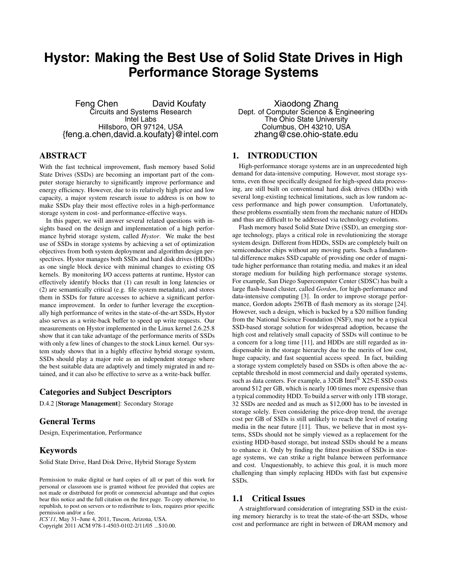# **Hystor: Making the Best Use of Solid State Drives in High Performance Storage Systems**

Feng Chen David Koufaty Circuits and Systems Research Intel Labs Hillsboro, OR 97124, USA {feng.a.chen,david.a.koufaty}@intel.com

# **ABSTRACT**

With the fast technical improvement, flash memory based Solid State Drives (SSDs) are becoming an important part of the computer storage hierarchy to significantly improve performance and energy efficiency. However, due to its relatively high price and low capacity, a major system research issue to address is on how to make SSDs play their most effective roles in a high-performance storage system in cost- and performance-effective ways.

In this paper, we will answer several related questions with insights based on the design and implementation of a high performance hybrid storage system, called *Hystor*. We make the best use of SSDs in storage systems by achieving a set of optimization objectives from both system deployment and algorithm design perspectives. Hystor manages both SSDs and hard disk drives (HDDs) as one single block device with minimal changes to existing OS kernels. By monitoring I/O access patterns at runtime, Hystor can effectively identify blocks that (1) can result in long latencies or (2) are semantically critical (e.g. file system metadata), and stores them in SSDs for future accesses to achieve a significant performance improvement. In order to further leverage the exceptionally high performance of writes in the state-of-the-art SSDs, Hystor also serves as a write-back buffer to speed up write requests. Our measurements on Hystor implemented in the Linux kernel 2.6.25.8 show that it can take advantage of the performance merits of SSDs with only a few lines of changes to the stock Linux kernel. Our system study shows that in a highly effective hybrid storage system, SSDs should play a major role as an independent storage where the best suitable data are adaptively and timely migrated in and retained, and it can also be effective to serve as a write-back buffer.

## **Categories and Subject Descriptors**

D.4.2 [**Storage Management**]: Secondary Storage

# **General Terms**

Design, Experimentation, Performance

## **Keywords**

Solid State Drive, Hard Disk Drive, Hybrid Storage System

Permission to make digital or hard copies of all or part of this work for personal or classroom use is granted without fee provided that copies are not made or distributed for profit or commercial advantage and that copies bear this notice and the full citation on the first page. To copy otherwise, to republish, to post on servers or to redistribute to lists, requires prior specific permission and/or a fee.

*ICS'11,* May 31–June 4, 2011, Tuscon, Arizona, USA.

Copyright 2011 ACM 978-1-4503-0102-2/11/05 ...\$10.00.

Xiaodong Zhang Dept. of Computer Science & Engineering The Ohio State University Columbus, OH 43210, USA zhang@cse.ohio-state.edu

# **1. INTRODUCTION**

High-performance storage systems are in an unprecedented high demand for data-intensive computing. However, most storage systems, even those specifically designed for high-speed data processing, are still built on conventional hard disk drives (HDDs) with several long-existing technical limitations, such as low random access performance and high power consumption. Unfortunately, these problems essentially stem from the mechanic nature of HDDs and thus are difficult to be addressed via technology evolutions.

Flash memory based Solid State Drive (SSD), an emerging storage technology, plays a critical role in revolutionizing the storage system design. Different from HDDs, SSDs are completely built on semiconductor chips without any moving parts. Such a fundamental difference makes SSD capable of providing one order of magnitude higher performance than rotating media, and makes it an ideal storage medium for building high performance storage systems. For example, San Diego Supercomputer Center (SDSC) has built a large flash-based cluster, called *Gordon*, for high-performance and data-intensive computing [3]. In order to improve storage performance, Gordon adopts 256TB of flash memory as its storage [24]. However, such a design, which is backed by a \$20 million funding from the National Science Foundation (NSF), may not be a typical SSD-based storage solution for widespread adoption, because the high cost and relatively small capacity of SSDs will continue to be a concern for a long time [11], and HDDs are still regarded as indispensable in the storage hierarchy due to the merits of low cost, huge capacity, and fast sequential access speed. In fact, building a storage system completely based on SSDs is often above the acceptable threshold in most commercial and daily operated systems, such as data centers. For example, a 32GB Intel<sup>®</sup> X25-E SSD costs around \$12 per GB, which is nearly 100 times more expensive than a typical commodity HDD. To build a server with only 1TB storage, 32 SSDs are needed and as much as \$12,000 has to be invested in storage solely. Even considering the price-drop trend, the average cost per GB of SSDs is still unlikely to reach the level of rotating media in the near future [11]. Thus, we believe that in most systems, SSDs should not be simply viewed as a replacement for the existing HDD-based storage, but instead SSDs should be a means to enhance it. Only by finding the fittest position of SSDs in storage systems, we can strike a right balance between performance and cost. Unquestionably, to achieve this goal, it is much more challenging than simply replacing HDDs with fast but expensive SSDs.

## **1.1 Critical Issues**

A straightforward consideration of integrating SSD in the existing memory hierarchy is to treat the state-of-the-art SSDs, whose cost and performance are right in between of DRAM memory and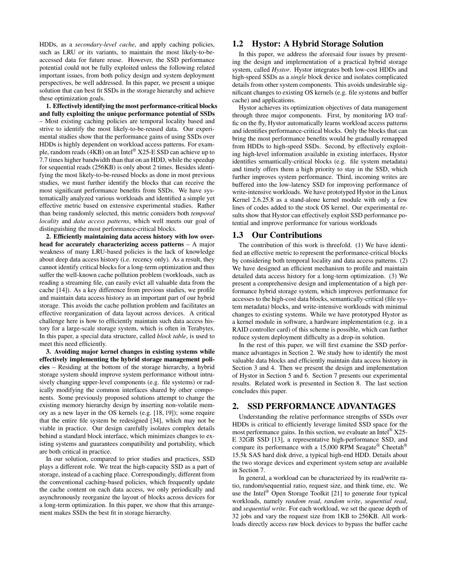HDDs, as a *secondary-level cache*, and apply caching policies, such as LRU or its variants, to maintain the most likely-to-beaccessed data for future reuse. However, the SSD performance potential could not be fully exploited unless the following related important issues, from both policy design and system deployment perspectives, be well addressed. In this paper, we present a unique solution that can best fit SSDs in the storage hierarchy and achieve these optimization goals.

**1. Effectively identifying the most performance-critical blocks and fully exploiting the unique performance potential of SSDs** – Most existing caching policies are temporal locality based and strive to identify the most likely-to-be-reused data. Our experimental studies show that the performance gains of using SSDs over HDDs is highly dependent on workload access patterns. For example, random reads (4KB) on an Intel® X25-E SSD can achieve up to 7.7 times higher bandwidth than that on an HDD, while the speedup for sequential reads (256KB) is only about 2 times. Besides identifying the most likely-to-be-reused blocks as done in most previous studies, we must further identify the blocks that can receive the most significant performance benefits from SSDs. We have systematically analyzed various workloads and identified a simple yet effective metric based on extensive experimental studies. Rather than being randomly selected, this metric considers both *temporal locality* and *data access patterns*, which well meets our goal of distinguishing the most performance-critical blocks.

**2. Efficiently maintaining data access history with low overhead for accurately characterizing access patterns** – A major weakness of many LRU-based policies is the lack of knowledge about deep data access history (i.e. recency only). As a result, they cannot identify critical blocks for a long-term optimization and thus suffer the well-known cache pollution problem (workloads, such as reading a streaming file, can easily evict all valuable data from the cache [14]). As a key difference from previous studies, we profile and maintain data access history as an important part of our hybrid storage. This avoids the cache pollution problem and facilitates an effective reorganization of data layout across devices. A critical challenge here is how to efficiently maintain such data access history for a large-scale storage system, which is often in Terabytes. In this paper, a special data structure, called *block table*, is used to meet this need efficiently.

**3. Avoiding major kernel changes in existing systems while effectively implementing the hybrid storage management policies** – Residing at the bottom of the storage hierarchy, a hybrid storage system should improve system performance without intrusively changing upper-level components (e.g. file systems) or radically modifying the common interfaces shared by other components. Some previously proposed solutions attempt to change the existing memory hierarchy design by inserting non-volatile memory as a new layer in the OS kernels (e.g. [18, 19]); some require that the entire file system be redesigned [34], which may not be viable in practice. Our design carefully isolates complex details behind a standard block interface, which minimizes changes to existing systems and guarantees compatibility and portability, which are both critical in practice.

In our solution, compared to prior studies and practices, SSD plays a different role. We treat the high-capacity SSD as a part of storage, instead of a caching place. Correspondingly, different from the conventional caching-based policies, which frequently update the cache content on each data access, we only periodically and asynchronously reorganize the layout of blocks across devices for a long-term optimization. In this paper, we show that this arrangement makes SSDs the best fit in storage hierarchy.

# **1.2 Hystor: A Hybrid Storage Solution**

In this paper, we address the aforesaid four issues by presenting the design and implementation of a practical hybrid storage system, called *Hystor*. Hystor integrates both low-cost HDDs and high-speed SSDs as a *single* block device and isolates complicated details from other system components. This avoids undesirable significant changes to existing OS kernels (e.g. file systems and buffer cache) and applications.

Hystor achieves its optimization objectives of data management through three major components. First, by monitoring I/O traffic on the fly, Hystor automatically learns workload access patterns and identifies performance-critical blocks. Only the blocks that can bring the most performance benefits would be gradually remapped from HDDs to high-speed SSDs. Second, by effectively exploiting high-level information available in existing interfaces, Hystor identifies semantically-critical blocks (e.g. file system metadata) and timely offers them a high priority to stay in the SSD, which further improves system performance. Third, incoming writes are buffered into the low-latency SSD for improving performance of write-intensive workloads. We have prototyped Hystor in the Linux Kernel 2.6.25.8 as a stand-alone kernel module with only a few lines of codes added to the stock OS kernel. Our experimental results show that Hystor can effectively exploit SSD performance potential and improve performance for various workloads

## **1.3 Our Contributions**

The contribution of this work is threefold. (1) We have identified an effective metric to represent the performance-critical blocks by considering both temporal locality and data access patterns. (2) We have designed an efficient mechanism to profile and maintain detailed data access history for a long-term optimization. (3) We present a comprehensive design and implementation of a high performance hybrid storage system, which improves performance for accesses to the high-cost data blocks, semantically-critical (file system metadata) blocks, and write-intensive workloads with minimal changes to existing systems. While we have prototyped Hystor as a kernel module in software, a hardware implementation (e.g. in a RAID controller card) of this scheme is possible, which can further reduce system deployment difficulty as a drop-in solution.

In the rest of this paper, we will first examine the SSD performance advantages in Section 2. We study how to identify the most valuable data blocks and efficiently maintain data access history in Section 3 and 4. Then we present the design and implementation of Hystor in Section 5 and 6. Section 7 presents our experimental results. Related work is presented in Section 8. The last section concludes this paper.

# **2. SSD PERFORMANCE ADVANTAGES**

Understanding the relative performance strengths of SSDs over HDDs is critical to efficiently leverage limited SSD space for the most performance gains. In this section, we evaluate an Intel® X25- E 32GB SSD [13], a representative high-performance SSD, and compare its performance with a 15,000 RPM Seagate® Cheetah® 15.5k SAS hard disk drive, a typical high-end HDD. Details about the two storage devices and experiment system setup are available in Section 7.

In general, a workload can be characterized by its read/write ratio, random/sequential ratio, request size, and think time, etc. We use the Intel® Open Storage Toolkit [21] to generate four typical workloads, namely *random read*, *random write*, *sequential read*, and *sequential write*. For each workload, we set the queue depth of 32 jobs and vary the request size from 1KB to 256KB. All workloads directly access raw block devices to bypass the buffer cache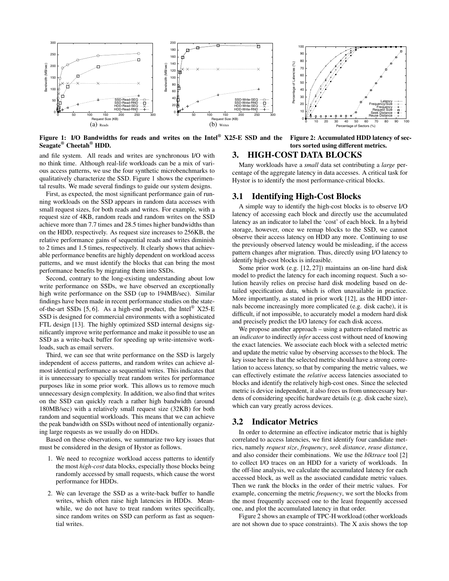



**Figure 2: Accumulated HDD latency of sec-**

**Figure 1: I/O Bandwidths for reads and writes on the Intel® X25-E SSD and the Seagate® Cheetah® HDD.**

and file system. All reads and writes are synchronous I/O with no think time. Although real-life workloads can be a mix of various access patterns, we use the four synthetic microbenchmarks to qualitatively characterize the SSD. Figure 1 shows the experimental results. We made several findings to guide our system designs.

First, as expected, the most significant performance gain of running workloads on the SSD appears in random data accesses with small request sizes, for both reads and writes. For example, with a request size of 4KB, random reads and random writes on the SSD achieve more than 7.7 times and 28.5 times higher bandwidths than on the HDD, respectively. As request size increases to 256KB, the relative performance gains of sequential reads and writes diminish to 2 times and 1.5 times, respectively. It clearly shows that achievable performance benefits are highly dependent on workload access patterns, and we must identify the blocks that can bring the most performance benefits by migrating them into SSDs.

Second, contrary to the long-existing understanding about low write performance on SSDs, we have observed an exceptionally high write performance on the SSD (up to 194MB/sec). Similar findings have been made in recent performance studies on the stateof-the-art SSDs [5, 6]. As a high-end product, the Intel® X25-E SSD is designed for commercial environments with a sophisticated FTL design [13]. The highly optimized SSD internal designs significantly improve write performance and make it possible to use an SSD as a write-back buffer for speeding up write-intensive workloads, such as email servers.

Third, we can see that write performance on the SSD is largely independent of access patterns, and random writes can achieve almost identical performance as sequential writes. This indicates that it is unnecessary to specially treat random writes for performance purposes like in some prior work. This allows us to remove much unnecessary design complexity. In addition, we also find that writes on the SSD can quickly reach a rather high bandwidth (around 180MB/sec) with a relatively small request size (32KB) for both random and sequential workloads. This means that we can achieve the peak bandwidth on SSDs without need of intentionally organizing large requests as we usually do on HDDs.

Based on these observations, we summarize two key issues that must be considered in the design of Hystor as follows.

- 1. We need to recognize workload access patterns to identify the most *high-cost* data blocks, especially those blocks being randomly accessed by small requests, which cause the worst performance for HDDs.
- 2. We can leverage the SSD as a write-back buffer to handle writes, which often raise high latencies in HDDs. Meanwhile, we do not have to treat random writes specifically, since random writes on SSD can perform as fast as sequential writes.

# **tors sorted using different metrics. 3. HIGH-COST DATA BLOCKS**

Many workloads have a *small* data set contributing a *large* percentage of the aggregate latency in data accesses. A critical task for Hystor is to identify the most performance-critical blocks.

## **3.1 Identifying High-Cost Blocks**

A simple way to identify the high-cost blocks is to observe I/O latency of accessing each block and directly use the accumulated latency as an indicator to label the 'cost' of each block. In a hybrid storage, however, once we remap blocks to the SSD, we cannot observe their access latency on HDD any more. Continuing to use the previously observed latency would be misleading, if the access pattern changes after migration. Thus, directly using I/O latency to identify high-cost blocks is infeasible.

Some prior work (e.g. [12, 27]) maintains an on-line hard disk model to predict the latency for each incoming request. Such a solution heavily relies on precise hard disk modeling based on detailed specification data, which is often unavailable in practice. More importantly, as stated in prior work [12], as the HDD internals become increasingly more complicated (e.g. disk cache), it is difficult, if not impossible, to accurately model a modern hard disk and precisely predict the I/O latency for each disk access.

We propose another approach – using a pattern-related metric as an *indicator* to indirectly *infer* access cost without need of knowing the exact latencies. We associate each block with a selected metric and update the metric value by observing accesses to the block. The key issue here is that the selected metric should have a strong correlation to access latency, so that by comparing the metric values, we can effectively estimate the *relative* access latencies associated to blocks and identify the relatively high-cost ones. Since the selected metric is device independent, it also frees us from unnecessary burdens of considering specific hardware details (e.g. disk cache size), which can vary greatly across devices.

## **3.2 Indicator Metrics**

In order to determine an effective indicator metric that is highly correlated to access latencies, we first identify four candidate metrics, namely *request size*, *frequency*, *seek distance*, *reuse distance*, and also consider their combinations. We use the *blktrace* tool [2] to collect I/O traces on an HDD for a variety of workloads. In the off-line analysis, we calculate the accumulated latency for each accessed block, as well as the associated candidate metric values. Then we rank the blocks in the order of their metric values. For example, concerning the metric *frequency*, we sort the blocks from the most frequently accessed one to the least frequently accessed one, and plot the accumulated latency in that order.

Figure 2 shows an example of TPC-H workload (other workloads are not shown due to space constraints). The X axis shows the top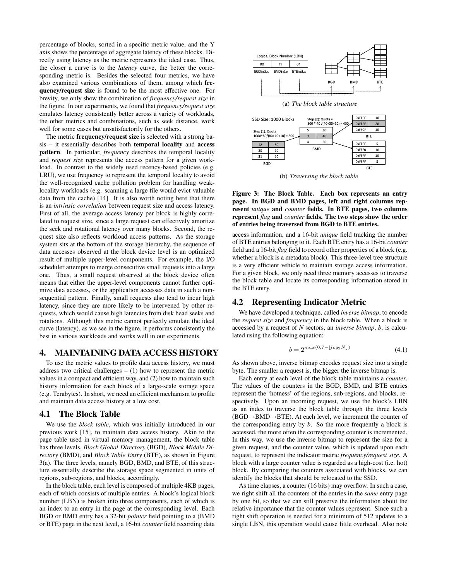percentage of blocks, sorted in a specific metric value, and the Y axis shows the percentage of aggregate latency of these blocks. Directly using latency as the metric represents the ideal case. Thus, the closer a curve is to the *latency* curve, the better the corresponding metric is. Besides the selected four metrics, we have also examined various combinations of them, among which **frequency/request size** is found to be the most effective one. For brevity, we only show the combination of *frequency/request size* in the figure. In our experiments, we found that *frequency/request size* emulates latency consistently better across a variety of workloads, the other metrics and combinations, such as seek distance, work well for some cases but unsatisfactorily for the others.

The metric **frequency/request size** is selected with a strong basis – it essentially describes both **temporal locality** and **access pattern**. In particular, *frequency* describes the temporal locality and *request size* represents the access pattern for a given workload. In contrast to the widely used recency-based policies (e.g. LRU), we use frequency to represent the temporal locality to avoid the well-recognized cache pollution problem for handling weaklocality workloads (e.g. scanning a large file would evict valuable data from the cache) [14]. It is also worth noting here that there is an *intrinsic correlation* between request size and access latency. First of all, the average access latency per block is highly correlated to request size, since a large request can effectively amortize the seek and rotational latency over many blocks. Second, the request size also reflects workload access patterns. As the storage system sits at the bottom of the storage hierarchy, the sequence of data accesses observed at the block device level is an optimized result of multiple upper-level components. For example, the I/O scheduler attempts to merge consecutive small requests into a large one. Thus, a small request observed at the block device often means that either the upper-level components cannot further optimize data accesses, or the application accesses data in such a nonsequential pattern. Finally, small requests also tend to incur high latency, since they are more likely to be intervened by other requests, which would cause high latencies from disk head seeks and rotations. Although this metric cannot perfectly emulate the ideal curve (latency), as we see in the figure, it performs consistently the best in various workloads and works well in our experiments.

## **4. MAINTAINING DATA ACCESS HISTORY**

To use the metric values to profile data access history, we must address two critical challenges  $- (1)$  how to represent the metric values in a compact and efficient way, and (2) how to maintain such history information for each block of a large-scale storage space (e.g. Terabytes). In short, we need an efficient mechanism to profile and maintain data access history at a low cost.

#### **4.1 The Block Table**

We use the *block table*, which was initially introduced in our previous work [15], to maintain data access history. Akin to the page table used in virtual memory management, the block table has three levels, *Block Global Directory* (BGD), *Block Middle Directory* (BMD), and *Block Table Entry* (BTE), as shown in Figure 3(a). The three levels, namely BGD, BMD, and BTE, of this structure essentially describe the storage space segmented in units of regions, sub-regions, and blocks, accordingly.

In the block table, each level is composed of multiple 4KB pages, each of which consists of multiple entries. A block's logical block number (LBN) is broken into three components, each of which is an index to an entry in the page at the corresponding level. Each BGD or BMD entry has a 32-bit *pointer* field pointing to a (BMD or BTE) page in the next level, a 16-bit *counter* field recording data



(b) *Traversing the block table*

### **Figure 3: The Block Table. Each box represents an entry page. In BGD and BMD pages, left and right columns represent** *unique* **and** *counter* **fields. In BTE pages, two columns represent** *flag* **and** *counter* **fields. The two steps show the order of entries being traversed from BGD to BTE entries.**

access information, and a 16-bit *unique* field tracking the number of BTE entries belonging to it. Each BTE entry has a 16-bit *counter* field and a 16-bit *flag* field to record other properties of a block (e.g. whether a block is a metadata block). This three-level tree structure is a very efficient vehicle to maintain storage access information. For a given block, we only need three memory accesses to traverse the block table and locate its corresponding information stored in the BTE entry.

## **4.2 Representing Indicator Metric**

We have developed a technique, called *inverse bitmap*, to encode the *request size* and *frequency* in the block table. When a block is accessed by a request of *N* sectors, an *inverse bitmap*, *b*, is calculated using the following equation:

$$
b = 2^{\max(0,7 - \lfloor \log_2 N \rfloor)} \tag{4.1}
$$

As shown above, inverse bitmap encodes request size into a single byte. The smaller a request is, the bigger the inverse bitmap is.

Each entry at each level of the block table maintains a *counter*. The values of the counters in the BGD, BMD, and BTE entries represent the 'hotness' of the regions, sub-regions, and blocks, respectively. Upon an incoming request, we use the block's LBN as an index to traverse the block table through the three levels (BGD→BMD→BTE). At each level, we increment the counter of the corresponding entry by *b*. So the more frequently a block is accessed, the more often the corresponding counter is incremented. In this way, we use the inverse bitmap to represent the size for a given request, and the counter value, which is updated upon each request, to represent the indicator metric *frequency/request size*. A block with a large counter value is regarded as a high-cost (i.e. hot) block. By comparing the counters associated with blocks, we can identify the blocks that should be relocated to the SSD.

As time elapses, a counter (16 bits) may overflow. In such a case, we right shift all the counters of the entries in the *same* entry page by one bit, so that we can still preserve the information about the relative importance that the counter values represent. Since such a right shift operation is needed for a minimum of 512 updates to a single LBN, this operation would cause little overhead. Also note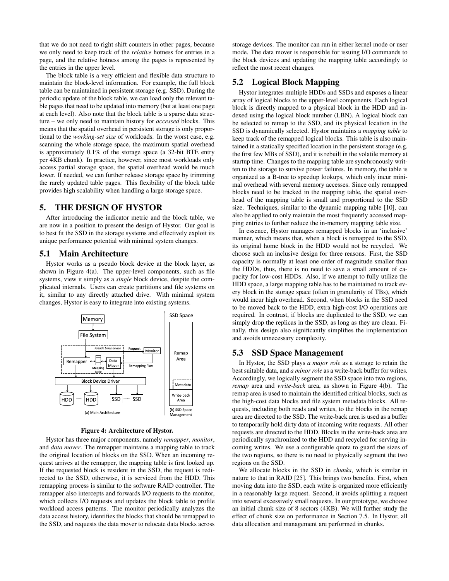that we do not need to right shift counters in other pages, because we only need to keep track of the *relative* hotness for entries in a page, and the relative hotness among the pages is represented by the entries in the upper level.

The block table is a very efficient and flexible data structure to maintain the block-level information. For example, the full block table can be maintained in persistent storage (e.g. SSD). During the periodic update of the block table, we can load only the relevant table pages that need to be updated into memory (but at least one page at each level). Also note that the block table is a sparse data structure – we only need to maintain history for *accessed* blocks. This means that the spatial overhead in persistent storage is only proportional to the *working-set size* of workloads. In the worst case, e.g. scanning the whole storage space, the maximum spatial overhead is approximately 0.1% of the storage space (a 32-bit BTE entry per 4KB chunk). In practice, however, since most workloads only access partial storage space, the spatial overhead would be much lower. If needed, we can further release storage space by trimming the rarely updated table pages. This flexibility of the block table provides high scalability when handling a large storage space.

## **5. THE DESIGN OF HYSTOR**

After introducing the indicator metric and the block table, we are now in a position to present the design of Hystor. Our goal is to best fit the SSD in the storage systems and effectively exploit its unique performance potential with minimal system changes.

# **5.1 Main Architecture**

Hystor works as a pseudo block device at the block layer, as shown in Figure 4(a). The upper-level components, such as file systems, view it simply as a *single* block device, despite the complicated internals. Users can create partitions and file systems on it, similar to any directly attached drive. With minimal system changes, Hystor is easy to integrate into existing systems.



**Figure 4: Architecture of Hystor.**

Hystor has three major components, namely *remapper*, *monitor*, and *data mover*. The remapper maintains a mapping table to track the original location of blocks on the SSD. When an incoming request arrives at the remapper, the mapping table is first looked up. If the requested block is resident in the SSD, the request is redirected to the SSD, otherwise, it is serviced from the HDD. This remapping process is similar to the software RAID controller. The remapper also intercepts and forwards I/O requests to the monitor, which collects I/O requests and updates the block table to profile workload access patterns. The monitor periodically analyzes the data access history, identifies the blocks that should be remapped to the SSD, and requests the data mover to relocate data blocks across

storage devices. The monitor can run in either kernel mode or user mode. The data mover is responsible for issuing I/O commands to the block devices and updating the mapping table accordingly to reflect the most recent changes.

## **5.2 Logical Block Mapping**

Hystor integrates multiple HDDs and SSDs and exposes a linear array of logical blocks to the upper-level components. Each logical block is directly mapped to a physical block in the HDD and indexed using the logical block number (LBN). A logical block can be selected to remap to the SSD, and its physical location in the SSD is dynamically selected. Hystor maintains a *mapping table* to keep track of the remapped logical blocks. This table is also maintained in a statically specified location in the persistent storage (e.g. the first few MBs of SSD), and it is rebuilt in the volatile memory at startup time. Changes to the mapping table are synchronously written to the storage to survive power failures. In memory, the table is organized as a B-tree to speedup lookups, which only incur minimal overhead with several memory accesses. Since only remapped blocks need to be tracked in the mapping table, the spatial overhead of the mapping table is small and proportional to the SSD size. Techniques, similar to the dynamic mapping table [10], can also be applied to only maintain the most frequently accessed mapping entries to further reduce the in-memory mapping table size.

In essence, Hystor manages remapped blocks in an 'inclusive' manner, which means that, when a block is remapped to the SSD, its original home block in the HDD would not be recycled. We choose such an inclusive design for three reasons. First, the SSD capacity is normally at least one order of magnitude smaller than the HDDs, thus, there is no need to save a small amount of capacity for low-cost HDDs. Also, if we attempt to fully utilize the HDD space, a large mapping table has to be maintained to track every block in the storage space (often in granularity of TBs), which would incur high overhead. Second, when blocks in the SSD need to be moved back to the HDD, extra high-cost I/O operations are required. In contrast, if blocks are duplicated to the SSD, we can simply drop the replicas in the SSD, as long as they are clean. Finally, this design also significantly simplifies the implementation and avoids unnecessary complexity.

## **5.3 SSD Space Management**

In Hystor, the SSD plays *a major role* as a storage to retain the best suitable data, and *a minor role* as a write-back buffer for writes. Accordingly, we logically segment the SSD space into two regions, *remap* area and *write-back* area, as shown in Figure 4(b). The remap area is used to maintain the identified critical blocks, such as the high-cost data blocks and file system metadata blocks. All requests, including both reads and writes, to the blocks in the remap area are directed to the SSD. The write-back area is used as a buffer to temporarily hold dirty data of incoming write requests. All other requests are directed to the HDD. Blocks in the write-back area are periodically synchronized to the HDD and recycled for serving incoming writes. We use a configurable quota to guard the sizes of the two regions, so there is no need to physically segment the two regions on the SSD.

We allocate blocks in the SSD in *chunks*, which is similar in nature to that in RAID [25]. This brings two benefits. First, when moving data into the SSD, each write is organized more efficiently in a reasonably large request. Second, it avoids splitting a request into several excessively small requests. In our prototype, we choose an initial chunk size of 8 sectors (4KB). We will further study the effect of chunk size on performance in Section 7.5. In Hystor, all data allocation and management are performed in chunks.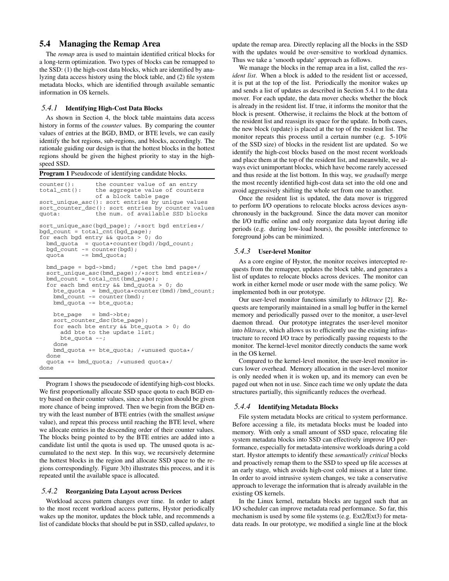## **5.4 Managing the Remap Area**

The *remap* area is used to maintain identified critical blocks for a long-term optimization. Two types of blocks can be remapped to the SSD: (1) the high-cost data blocks, which are identified by analyzing data access history using the block table, and (2) file system metadata blocks, which are identified through available semantic information in OS kernels.

#### *5.4.1* **Identifying High-Cost Data Blocks**

As shown in Section 4, the block table maintains data access history in forms of the *counter* values. By comparing the counter values of entries at the BGD, BMD, or BTE levels, we can easily identify the hot regions, sub-regions, and blocks, accordingly. The rationale guiding our design is that the hottest blocks in the hottest regions should be given the highest priority to stay in the highspeed SSD.

**Program 1** Pseudocode of identifying candidate blocks. counter(): the counter value of an entry total\_cnt(): the aggregate value of counters of a block table page sort\_unique\_asc(): sort entries by unique values sort\_counter\_dsc(): sort entries by counter values<br>quota: the num. of available SSD blocks the num. of available SSD blocks sort\_unique\_asc(bgd\_page); /\*sort bgd entries\*/ bgd\_count = total\_cnt(bgd\_page); for each bgd entry && quota > 0; do bmd\_quota = quota\*counter(bgd)/bgd\_count; bgd\_count -= counter(bgd); quota -= bmd\_quota; bmd\_page = bgd->bmd; /\*get the bmd page\*/ sort\_unique\_asc(bmd\_page);/\*sort bmd entries\*/ bmd\_count = total\_cnt(bmd\_page); for each bmd entry && bmd\_quota > 0; do bte quota = bmd quota\*counter(bmd)/bmd count;  $bmd_{count}$  -= counter( $bmd$ ); bmd\_quota -= bte\_quota; bte\_page = bmd->bte; sort\_counter\_dsc(bte\_page); for each bte entry && bte\_quota > 0; do add bte to the update list; bte\_quota --; done bmd\_quota += bte\_quota; /\*unused quota\*/ done quota += bmd\_quota; /\*unused quota\*/ done

Program 1 shows the pseudocode of identifying high-cost blocks. We first proportionally allocate SSD space quota to each BGD entry based on their counter values, since a hot region should be given more chance of being improved. Then we begin from the BGD entry with the least number of BTE entries (with the smallest *unique* value), and repeat this process until reaching the BTE level, where we allocate entries in the descending order of their counter values. The blocks being pointed to by the BTE entries are added into a candidate list until the quota is used up. The unused quota is accumulated to the next step. In this way, we recursively determine the hottest blocks in the region and allocate SSD space to the regions correspondingly. Figure 3(b) illustrates this process, and it is repeated until the available space is allocated.

#### *5.4.2* **Reorganizing Data Layout across Devices**

Workload access pattern changes over time. In order to adapt to the most recent workload access patterns, Hystor periodically wakes up the monitor, updates the block table, and recommends a list of candidate blocks that should be put in SSD, called *updates*, to

update the remap area. Directly replacing all the blocks in the SSD with the updates would be over-sensitive to workload dynamics. Thus we take a 'smooth update' approach as follows.

We manage the blocks in the remap area in a list, called the *resident list*. When a block is added to the resident list or accessed, it is put at the top of the list. Periodically the monitor wakes up and sends a list of updates as described in Section 5.4.1 to the data mover. For each update, the data mover checks whether the block is already in the resident list. If true, it informs the monitor that the block is present. Otherwise, it reclaims the block at the bottom of the resident list and reassign its space for the update. In both cases, the new block (update) is placed at the top of the resident list. The monitor repeats this process until a certain number (e.g. 5-10% of the SSD size) of blocks in the resident list are updated. So we identify the high-cost blocks based on the most recent workloads and place them at the top of the resident list, and meanwhile, we always evict unimportant blocks, which have become rarely accessed and thus reside at the list bottom. In this way, we *gradually* merge the most recently identified high-cost data set into the old one and avoid aggressively shifting the whole set from one to another.

Once the resident list is updated, the data mover is triggered to perform I/O operations to relocate blocks across devices asynchronously in the background. Since the data mover can monitor the I/O traffic online and only reorganize data layout during idle periods (e.g. during low-load hours), the possible interference to foreground jobs can be minimized.

#### *5.4.3* **User-level Monitor**

As a core engine of Hystor, the monitor receives intercepted requests from the remapper, updates the block table, and generates a list of updates to relocate blocks across devices. The monitor can work in either kernel mode or user mode with the same policy. We implemented both in our prototype.

Our user-level monitor functions similarly to *blktrace* [2]. Requests are temporarily maintained in a small log buffer in the kernel memory and periodically passed over to the monitor, a user-level daemon thread. Our prototype integrates the user-level monitor into *blktrace*, which allows us to efficiently use the existing infrastructure to record I/O trace by periodically passing requests to the monitor. The kernel-level monitor directly conducts the same work in the OS kernel.

Compared to the kernel-level monitor, the user-level monitor incurs lower overhead. Memory allocation in the user-level monitor is only needed when it is woken up, and its memory can even be paged out when not in use. Since each time we only update the data structures partially, this significantly reduces the overhead.

#### *5.4.4* **Identifying Metadata Blocks**

File system metadata blocks are critical to system performance. Before accessing a file, its metadata blocks must be loaded into memory. With only a small amount of SSD space, relocating file system metadata blocks into SSD can effectively improve I/O performance, especially for metadata-intensive workloads during a cold start. Hystor attempts to identify these *semantically critical* blocks and proactively remap them to the SSD to speed up file accesses at an early stage, which avoids high-cost cold misses at a later time. In order to avoid intrusive system changes, we take a conservative approach to leverage the information that is already available in the existing OS kernels.

In the Linux kernel, metadata blocks are tagged such that an I/O scheduler can improve metadata read performance. So far, this mechanism is used by some file systems (e.g. Ext2/Ext3) for metadata reads. In our prototype, we modified a single line at the block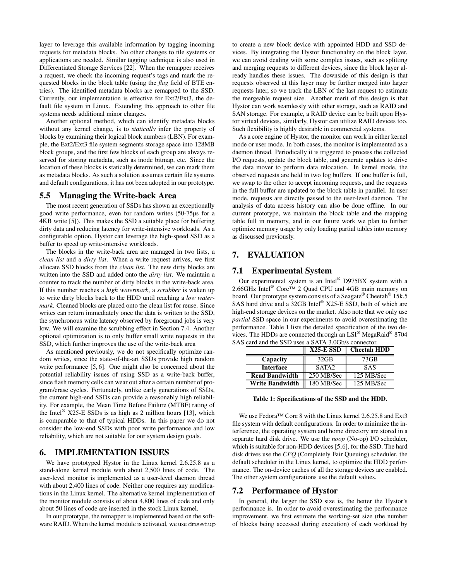layer to leverage this available information by tagging incoming requests for metadata blocks. No other changes to file systems or applications are needed. Similar tagging technique is also used in Differentiated Storage Services [22]. When the remapper receives a request, we check the incoming request's tags and mark the requested blocks in the block table (using the *flag* field of BTE entries). The identified metadata blocks are remapped to the SSD. Currently, our implementation is effective for Ext2/Ext3, the default file system in Linux. Extending this approach to other file systems needs additional minor changes.

Another optional method, which can identify metadata blocks without any kernel change, is to *statically* infer the property of blocks by examining their logical block numbers (LBN). For example, the Ext2/Ext3 file system segments storage space into 128MB block groups, and the first few blocks of each group are always reserved for storing metadata, such as inode bitmap, etc. Since the location of these blocks is statically determined, we can mark them as metadata blocks. As such a solution assumes certain file systems and default configurations, it has not been adopted in our prototype.

## **5.5 Managing the Write-back Area**

The most recent generation of SSDs has shown an exceptionally good write performance, even for random writes (50-75µs for a 4KB write [5]). This makes the SSD a suitable place for buffering dirty data and reducing latency for write-intensive workloads. As a configurable option, Hystor can leverage the high-speed SSD as a buffer to speed up write-intensive workloads.

The blocks in the write-back area are managed in two lists, a *clean list* and a *dirty list*. When a write request arrives, we first allocate SSD blocks from the *clean list*. The new dirty blocks are written into the SSD and added onto the *dirty list*. We maintain a counter to track the number of dirty blocks in the write-back area. If this number reaches a *high watermark*, a *scrubber* is waken up to write dirty blocks back to the HDD until reaching a *low watermark*. Cleaned blocks are placed onto the clean list for reuse. Since writes can return immediately once the data is written to the SSD, the synchronous write latency observed by foreground jobs is very low. We will examine the scrubbing effect in Section 7.4. Another optional optimization is to only buffer small write requests in the SSD, which further improves the use of the write-back area

As mentioned previously, we do not specifically optimize random writes, since the state-of-the-art SSDs provide high random write performance [5, 6]. One might also be concerned about the potential reliability issues of using SSD as a write-back buffer, since flash memory cells can wear out after a certain number of program/erase cycles. Fortunately, unlike early generations of SSDs, the current high-end SSDs can provide a reasonably high reliability. For example, the Mean Time Before Failure (MTBF) rating of the Intel<sup>®</sup> X25-E SSDs is as high as 2 million hours [13], which is comparable to that of typical HDDs. In this paper we do not consider the low-end SSDs with poor write performance and low reliability, which are not suitable for our system design goals.

## **6. IMPLEMENTATION ISSUES**

We have prototyped Hystor in the Linux kernel 2.6.25.8 as a stand-alone kernel module with about 2,500 lines of code. The user-level monitor is implemented as a user-level daemon thread with about 2,400 lines of code. Neither one requires any modifications in the Linux kernel. The alternative kernel implementation of the monitor module consists of about 4,800 lines of code and only about 50 lines of code are inserted in the stock Linux kernel.

In our prototype, the remapper is implemented based on the software RAID. When the kernel module is activated, we use dmsetup to create a new block device with appointed HDD and SSD devices. By integrating the Hystor functionality on the block layer, we can avoid dealing with some complex issues, such as splitting and merging requests to different devices, since the block layer already handles these issues. The downside of this design is that requests observed at this layer may be further merged into larger requests later, so we track the LBN of the last request to estimate the mergeable request size. Another merit of this design is that Hystor can work seamlessly with other storage, such as RAID and SAN storage. For example, a RAID device can be built upon Hystor virtual devices, similarly, Hystor can utilize RAID devices too. Such flexibility is highly desirable in commercial systems.

As a core engine of Hystor, the monitor can work in either kernel mode or user mode. In both cases, the monitor is implemented as a daemon thread. Periodically it is triggered to process the collected I/O requests, update the block table, and generate updates to drive the data mover to perform data relocation. In kernel mode, the observed requests are held in two log buffers. If one buffer is full, we swap to the other to accept incoming requests, and the requests in the full buffer are updated to the block table in parallel. In user mode, requests are directly passed to the user-level daemon. The analysis of data access history can also be done offline. In our current prototype, we maintain the block table and the mapping table full in memory, and in our future work we plan to further optimize memory usage by only loading partial tables into memory as discussed previously.

# **7. EVALUATION**

## **7.1 Experimental System**

Our experimental system is an Intel® D975BX system with a 2.66GHz Intel® Core™ 2 Quad CPU and 4GB main memory on board. Our prototype system consists of a Seagate<sup>®</sup> Cheetah<sup>®</sup> 15k.5 SAS hard drive and a 32GB Intel® X25-E SSD, both of which are high-end storage devices on the market. Also note that we only use *partial* SSD space in our experiments to avoid overestimating the performance. Table 1 lists the detailed specification of the two devices. The HDDs are connected through an LSI® MegaRaid® 8704 SAS card and the SSD uses a SATA 3.0Gb/s connector.

|                        | X25-E SSD         | <b>Cheetah HDD</b> |
|------------------------|-------------------|--------------------|
| Capacity               | 32 <sub>GB</sub>  | 73GB               |
| <b>Interface</b>       | SATA <sub>2</sub> | <b>SAS</b>         |
| <b>Read Bandwidth</b>  | 250 MB/Sec        | 125 MB/Sec         |
| <b>Write Bandwidth</b> | 180 MB/Sec        | 125 MB/Sec         |

**Table 1: Specifications of the SSD and the HDD.**

We use Fedora™ Core 8 with the Linux kernel 2.6.25.8 and Ext3 file system with default configurations. In order to minimize the interference, the operating system and home directory are stored in a separate hard disk drive. We use the *noop* (No-op) I/O scheduler, which is suitable for non-HDD devices [5,6], for the SSD. The hard disk drives use the *CFQ* (Completely Fair Queuing) scheduler, the default scheduler in the Linux kernel, to optimize the HDD performance. The on-device caches of all the storage devices are enabled. The other system configurations use the default values.

#### **7.2 Performance of Hystor**

In general, the larger the SSD size is, the better the Hystor's performance is. In order to avoid overestimating the performance improvement, we first estimate the working-set size (the number of blocks being accessed during execution) of each workload by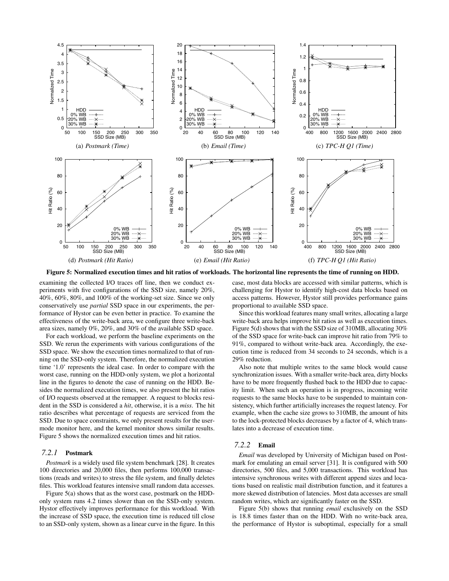

**Figure 5: Normalized execution times and hit ratios of workloads. The horizontal line represents the time of running on HDD.**

examining the collected I/O traces off line, then we conduct experiments with five configurations of the SSD size, namely 20%, 40%, 60%, 80%, and 100% of the working-set size. Since we only conservatively use *partial* SSD space in our experiments, the performance of Hystor can be even better in practice. To examine the effectiveness of the write-back area, we configure three write-back area sizes, namely 0%, 20%, and 30% of the available SSD space.

For each workload, we perform the baseline experiments on the SSD. We rerun the experiments with various configurations of the SSD space. We show the execution times normalized to that of running on the SSD-only system. Therefore, the normalized execution time '1.0' represents the ideal case. In order to compare with the worst case, running on the HDD-only system, we plot a horizontal line in the figures to denote the case of running on the HDD. Besides the normalized execution times, we also present the hit ratios of I/O requests observed at the remapper. A request to blocks resident in the SSD is considered a *hit*, otherwise, it is a *miss*. The hit ratio describes what percentage of requests are serviced from the SSD. Due to space constraints, we only present results for the usermode monitor here, and the kernel monitor shows similar results. Figure 5 shows the normalized execution times and hit ratios.

#### *7.2.1* **Postmark**

*Postmark* is a widely used file system benchmark [28]. It creates 100 directories and 20,000 files, then performs 100,000 transactions (reads and writes) to stress the file system, and finally deletes files. This workload features intensive small random data accesses.

Figure 5(a) shows that as the worst case, postmark on the HDDonly system runs 4.2 times slower than on the SSD-only system. Hystor effectively improves performance for this workload. With the increase of SSD space, the execution time is reduced till close to an SSD-only system, shown as a linear curve in the figure. In this

case, most data blocks are accessed with similar patterns, which is challenging for Hystor to identify high-cost data blocks based on access patterns. However, Hystor still provides performance gains proportional to available SSD space.

Since this workload features many small writes, allocating a large write-back area helps improve hit ratios as well as execution times. Figure 5(d) shows that with the SSD size of 310MB, allocating 30% of the SSD space for write-back can improve hit ratio from 79% to 91%, compared to without write-back area. Accordingly, the execution time is reduced from 34 seconds to 24 seconds, which is a 29% reduction.

Also note that multiple writes to the same block would cause synchronization issues. With a smaller write-back area, dirty blocks have to be more frequently flushed back to the HDD due to capacity limit. When such an operation is in progress, incoming write requests to the same blocks have to be suspended to maintain consistency, which further artificially increases the request latency. For example, when the cache size grows to 310MB, the amount of hits to the lock-protected blocks decreases by a factor of 4, which translates into a decrease of execution time.

#### *7.2.2* **Email**

*Email* was developed by University of Michigan based on Postmark for emulating an email server [31]. It is configured with 500 directories, 500 files, and 5,000 transactions. This workload has intensive synchronous writes with different append sizes and locations based on realistic mail distribution function, and it features a more skewed distribution of latencies. Most data accesses are small random writes, which are significantly faster on the SSD.

Figure 5(b) shows that running *email* exclusively on the SSD is 18.8 times faster than on the HDD. With no write-back area, the performance of Hystor is suboptimal, especially for a small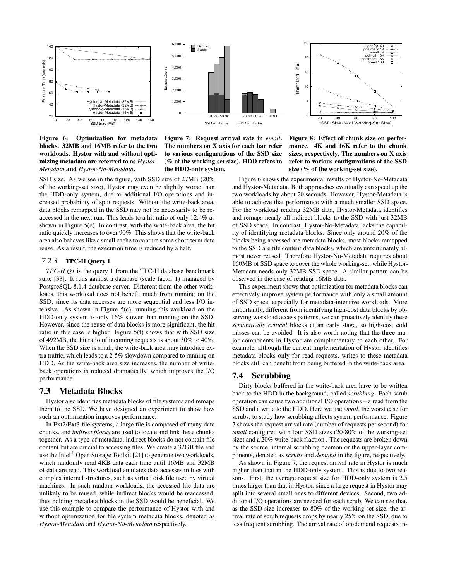

**Figure 6: Optimization for metadata blocks. 32MB and 16MB refer to the two workloads. Hystor with and without optimizing metadata are referred to as** *Hystor-Metadata* **and** *Hystor-No-Metadata***.**



**Figure 7: Request arrival rate in** *email***. The numbers on X axis for each bar refer to various configurations of the SSD size (% of the working-set size). HDD refers to the HDD-only system.**

SSD size. As we see in the figure, with SSD size of 27MB (20% of the working-set size), Hystor may even be slightly worse than the HDD-only system, due to additional I/O operations and increased probability of split requests. Without the write-back area, data blocks remapped in the SSD may not be necessarily to be reaccessed in the next run. This leads to a hit ratio of only 12.4% as shown in Figure 5(e). In contrast, with the write-back area, the hit ratio quickly increases to over 90%. This shows that the write-back area also behaves like a small cache to capture some short-term data reuse. As a result, the execution time is reduced by a half.

#### *7.2.3* **TPC-H Query 1**

*TPC-H Q1* is the query 1 from the TPC-H database benchmark suite [33]. It runs against a database (scale factor 1) managed by PostgreSQL 8.1.4 database server. Different from the other workloads, this workload does not benefit much from running on the SSD, since its data accesses are more sequential and less I/O intensive. As shown in Figure 5(c), running this workload on the HDD-only system is only 16% slower than running on the SSD. However, since the reuse of data blocks is more significant, the hit ratio in this case is higher. Figure 5(f) shows that with SSD size of 492MB, the hit ratio of incoming requests is about 30% to 40%. When the SSD size is small, the write-back area may introduce extra traffic, which leads to a 2-5% slowdown compared to running on HDD. As the write-back area size increases, the number of writeback operations is reduced dramatically, which improves the I/O performance.

## **7.3 Metadata Blocks**

Hystor also identifies metadata blocks of file systems and remaps them to the SSD. We have designed an experiment to show how such an optimization improves performance.

In Ext2/Ext3 file systems, a large file is composed of many data chunks, and *indirect blocks* are used to locate and link these chunks together. As a type of metadata, indirect blocks do not contain file content but are crucial to accessing files. We create a 32GB file and use the Intel® Open Storage Toolkit [21] to generate two workloads, which randomly read 4KB data each time until 16MB and 32MB of data are read. This workload emulates data accesses in files with complex internal structures, such as virtual disk file used by virtual machines. In such random workloads, the accessed file data are unlikely to be reused, while indirect blocks would be reaccessed, thus holding metadata blocks in the SSD would be beneficial. We use this example to compare the performance of Hystor with and without optimization for file system metadata blocks, denoted as *Hystor-Metadata* and *Hystor-No-Metadata* respectively.



**Figure 8: Effect of chunk size on performance. 4K and 16K refer to the chunk sizes, respectively. The numbers on X axis refer to various configurations of the SSD size (% of the working-set size).**

Figure 6 shows the experimental results of Hystor-No-Metadata and Hystor-Metadata. Both approaches eventually can speed up the two workloads by about 20 seconds. However, Hystor-Metadata is able to achieve that performance with a much smaller SSD space. For the workload reading 32MB data, Hystor-Metadata identifies and remaps nearly all indirect blocks to the SSD with just 32MB of SSD space. In contrast, Hystor-No-Metadata lacks the capability of identifying metadata blocks. Since only around 20% of the blocks being accessed are metadata blocks, most blocks remapped to the SSD are file content data blocks, which are unfortunately almost never reused. Therefore Hystor-No-Metadata requires about 160MB of SSD space to cover the whole working-set, while Hystor-Metadata needs only 32MB SSD space. A similar pattern can be observed in the case of reading 16MB data.

This experiment shows that optimization for metadata blocks can effectively improve system performance with only a small amount of SSD space, especially for metadata-intensive workloads. More importantly, different from identifying high-cost data blocks by observing workload access patterns, we can proactively identify these *semantically critical* blocks at an early stage, so high-cost cold misses can be avoided. It is also worth noting that the three major components in Hystor are complementary to each other. For example, although the current implementation of Hystor identifies metadata blocks only for read requests, writes to these metadata blocks still can benefit from being buffered in the write-back area.

## **7.4 Scrubbing**

Dirty blocks buffered in the write-back area have to be written back to the HDD in the background, called *scrubbing*. Each scrub operation can cause two additional I/O operations – a read from the SSD and a write to the HDD. Here we use *email*, the worst case for scrubs, to study how scrubbing affects system performance. Figure 7 shows the request arrival rate (number of requests per second) for *email* configured with four SSD sizes (20-80% of the working-set size) and a 20% write-back fraction . The requests are broken down by the source, internal scrubbing daemon or the upper-layer components, denoted as *scrubs* and *demand* in the figure, respectively.

As shown in Figure 7, the request arrival rate in Hystor is much higher than that in the HDD-only system. This is due to two reasons. First, the average request size for HDD-only system is 2.5 times larger than that in Hystor, since a large request in Hystor may split into several small ones to different devices. Second, two additional I/O operations are needed for each scrub. We can see that, as the SSD size increases to 80% of the working-set size, the arrival rate of scrub requests drops by nearly 25% on the SSD, due to less frequent scrubbing. The arrival rate of on-demand requests in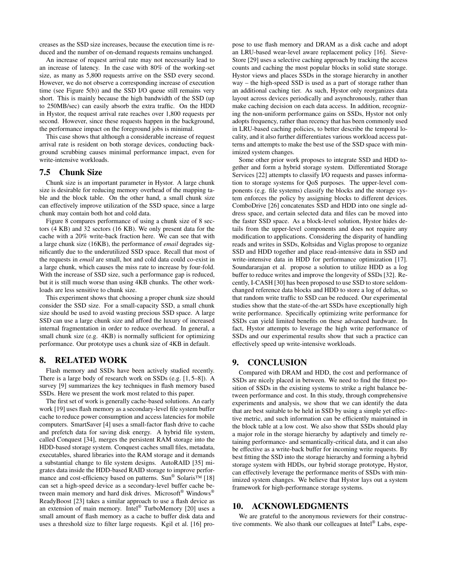creases as the SSD size increases, because the execution time is reduced and the number of on-demand requests remains unchanged.

An increase of request arrival rate may not necessarily lead to an increase of latency. In the case with 80% of the working-set size, as many as 5,800 requests arrive on the SSD every second. However, we do not observe a corresponding increase of execution time (see Figure 5(b)) and the SSD I/O queue still remains very short. This is mainly because the high bandwidth of the SSD (up to 250MB/sec) can easily absorb the extra traffic. On the HDD in Hystor, the request arrival rate reaches over 1,800 requests per second. However, since these requests happen in the background, the performance impact on the foreground jobs is minimal.

This case shows that although a considerable increase of request arrival rate is resident on both storage devices, conducting background scrubbing causes minimal performance impact, even for write-intensive workloads.

## **7.5 Chunk Size**

Chunk size is an important parameter in Hystor. A large chunk size is desirable for reducing memory overhead of the mapping table and the block table. On the other hand, a small chunk size can effectively improve utilization of the SSD space, since a large chunk may contain both hot and cold data.

Figure 8 compares performance of using a chunk size of 8 sectors (4 KB) and 32 sectors (16 KB). We only present data for the cache with a 20% write-back fraction here. We can see that with a large chunk size (16KB), the performance of *email* degrades significantly due to the underutilized SSD space. Recall that most of the requests in *email* are small, hot and cold data could co-exist in a large chunk, which causes the miss rate to increase by four-fold. With the increase of SSD size, such a performance gap is reduced, but it is still much worse than using 4KB chunks. The other workloads are less sensitive to chunk size.

This experiment shows that choosing a proper chunk size should consider the SSD size. For a small-capacity SSD, a small chunk size should be used to avoid wasting precious SSD space. A large SSD can use a large chunk size and afford the luxury of increased internal fragmentation in order to reduce overhead. In general, a small chunk size (e.g. 4KB) is normally sufficient for optimizing performance. Our prototype uses a chunk size of 4KB in default.

## **8. RELATED WORK**

Flash memory and SSDs have been actively studied recently. There is a large body of research work on SSDs (e.g. [1, 5–8]). A survey [9] summarizes the key techniques in flash memory based SSDs. Here we present the work most related to this paper.

The first set of work is generally cache-based solutions. An early work [19] uses flash memory as a secondary-level file system buffer cache to reduce power consumption and access latencies for mobile computers. SmartSaver [4] uses a small-factor flash drive to cache and prefetch data for saving disk energy. A hybrid file system, called Conquest [34], merges the persistent RAM storage into the HDD-based storage system. Conquest caches small files, metadata, executables, shared libraries into the RAM storage and it demands a substantial change to file system designs. AutoRAID [35] migrates data inside the HDD-based RAID storage to improve performance and cost-efficiency based on patterns. Sun<sup>®</sup> Solaris<sup>™</sup> [18] can set a high-speed device as a secondary-level buffer cache between main memory and hard disk drives. Microsoft<sup>®</sup> Windows<sup>®</sup> ReadyBoost [23] takes a similar approach to use a flash device as an extension of main memory. Intel® TurboMemory [20] uses a small amount of flash memory as a cache to buffer disk data and uses a threshold size to filter large requests. Kgil et al. [16] propose to use flash memory and DRAM as a disk cache and adopt an LRU-based wear-level aware replacement policy [16]. Sieve-Store [29] uses a selective caching approach by tracking the access counts and caching the most popular blocks in solid state storage. Hystor views and places SSDs in the storage hierarchy in another way – the high-speed SSD is used as a part of storage rather than an additional caching tier. As such, Hystor only reorganizes data layout across devices periodically and asynchronously, rather than make caching decision on each data access. In addition, recognizing the non-uniform performance gains on SSDs, Hystor not only adopts frequency, rather than recency that has been commonly used in LRU-based caching policies, to better describe the temporal locality, and it also further differentiates various workload access patterns and attempts to make the best use of the SSD space with minimized system changes.

Some other prior work proposes to integrate SSD and HDD together and form a hybrid storage system. Differentiated Storage Services [22] attempts to classify I/O requests and passes information to storage systems for QoS purposes. The upper-level components (e.g. file systems) classify the blocks and the storage system enforces the policy by assigning blocks to different devices. ComboDrive [26] concatenates SSD and HDD into one single address space, and certain selected data and files can be moved into the faster SSD space. As a block-level solution, Hystor hides details from the upper-level components and does not require any modification to applications. Considering the disparity of handling reads and writes in SSDs, Koltsidas and Viglas propose to organize SSD and HDD together and place read-intensive data in SSD and write-intensive data in HDD for performance optimization [17]. Soundararajan et al. propose a solution to utilize HDD as a log buffer to reduce writes and improve the longevity of SSDs [32]. Recently, I-CASH [30] has been proposed to use SSD to store seldomchanged reference data blocks and HDD to store a log of deltas, so that random write traffic to SSD can be reduced. Our experimental studies show that the state-of-the-art SSDs have exceptionally high write performance. Specifically optimizing write performance for SSDs can yield limited benefits on these advanced hardware. In fact, Hystor attempts to leverage the high write performance of SSDs and our experimental results show that such a practice can effectively speed up write-intensive workloads.

# **9. CONCLUSION**

Compared with DRAM and HDD, the cost and performance of SSDs are nicely placed in between. We need to find the fittest position of SSDs in the existing systems to strike a right balance between performance and cost. In this study, through comprehensive experiments and analysis, we show that we can identify the data that are best suitable to be held in SSD by using a simple yet effective metric, and such information can be efficiently maintained in the block table at a low cost. We also show that SSDs should play a major role in the storage hierarchy by adaptively and timely retaining performance- and semantically-critical data, and it can also be effective as a write-back buffer for incoming write requests. By best fitting the SSD into the storage hierarchy and forming a hybrid storage system with HDDs, our hybrid storage prototype, Hystor, can effectively leverage the performance merits of SSDs with minimized system changes. We believe that Hystor lays out a system framework for high-performance storage systems.

### **10. ACKNOWLEDGMENTS**

We are grateful to the anonymous reviewers for their constructive comments. We also thank our colleagues at Intel® Labs, espe